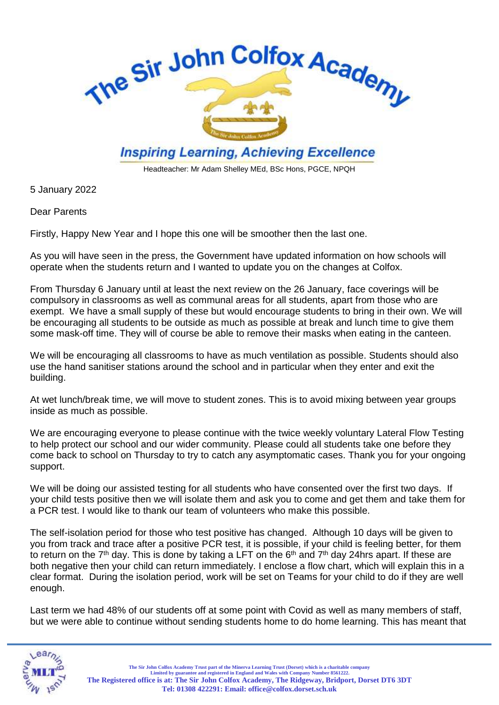

Headteacher: Mr Adam Shelley MEd, BSc Hons, PGCE, NPQH

5 January 2022

Dear Parents

Firstly, Happy New Year and I hope this one will be smoother then the last one.

As you will have seen in the press, the Government have updated information on how schools will operate when the students return and I wanted to update you on the changes at Colfox.

From Thursday 6 January until at least the next review on the 26 January, face coverings will be compulsory in classrooms as well as communal areas for all students, apart from those who are exempt. We have a small supply of these but would encourage students to bring in their own. We will be encouraging all students to be outside as much as possible at break and lunch time to give them some mask-off time. They will of course be able to remove their masks when eating in the canteen.

We will be encouraging all classrooms to have as much ventilation as possible. Students should also use the hand sanitiser stations around the school and in particular when they enter and exit the building.

At wet lunch/break time, we will move to student zones. This is to avoid mixing between year groups inside as much as possible.

We are encouraging everyone to please continue with the twice weekly voluntary Lateral Flow Testing to help protect our school and our wider community. Please could all students take one before they come back to school on Thursday to try to catch any asymptomatic cases. Thank you for your ongoing support.

We will be doing our assisted testing for all students who have consented over the first two days. If your child tests positive then we will isolate them and ask you to come and get them and take them for a PCR test. I would like to thank our team of volunteers who make this possible.

The self-isolation period for those who test positive has changed. Although 10 days will be given to you from track and trace after a positive PCR test, it is possible, if your child is feeling better, for them to return on the 7<sup>th</sup> day. This is done by taking a LFT on the 6<sup>th</sup> and 7<sup>th</sup> day 24hrs apart. If these are both negative then your child can return immediately. I enclose a flow chart, which will explain this in a clear format. During the isolation period, work will be set on Teams for your child to do if they are well enough.

Last term we had 48% of our students off at some point with Covid as well as many members of staff, but we were able to continue without sending students home to do home learning. This has meant that